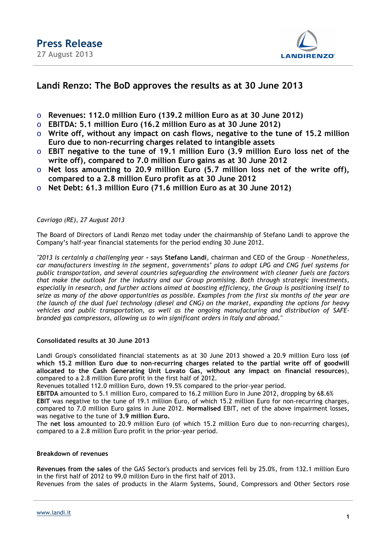

### **Landi Renzo: The BoD approves the results as at 30 June 2013**

- o **Revenues: 112.0 million Euro (139.2 million Euro as at 30 June 2012)**
- o **EBITDA: 5.1 million Euro (16.2 million Euro as at 30 June 2012)**
- o **Write off, without any impact on cash flows, negative to the tune of 15.2 million Euro due to non-recurring charges related to intangible assets**
- o **EBIT negative to the tune of 19.1 million Euro (3.9 million Euro loss net of the write off), compared to 7.0 million Euro gains as at 30 June 2012**
- o **Net loss amounting to 20.9 million Euro (5.7 million loss net of the write off), compared to a 2.8 million Euro profit as at 30 June 2012**
- o **Net Debt: 61.3 million Euro (71.6 million Euro as at 30 June 2012)**

*Cavriago (RE), 27 August 2013* 

The Board of Directors of Landi Renzo met today under the chairmanship of Stefano Landi to approve the Company's half-year financial statements for the period ending 30 June 2012.

*"2013 is certainly a challenging year* **-** says **Stefano Landi**, chairman and CEO of the Group – *Nonetheless, car manufacturers investing in the segment, governments' plans to adopt LPG and CNG fuel systems for public transportation, and several countries safeguarding the environment with cleaner fuels are factors that make the outlook for the industry and our Group promising. Both through strategic investments, especially in research, and further actions aimed at boosting efficiency, the Group is positioning itself to seize as many of the above opportunities as possible. Examples from the first six months of the year are the launch of the dual fuel technology (diesel and CNG) on the market, expanding the options for heavy vehicles and public transportation, as well as the ongoing manufacturing and distribution of SAFEbranded gas compressors, allowing us to win significant orders in Italy and abroad."* 

#### **Consolidated results at 30 June 2013**

Landi Group's consolidated financial statements as at 30 June 2013 showed a 20.9 million Euro loss (**of which 15.2 million Euro due to non-recurring charges related to the partial write off of goodwill allocated to the Cash Generating Unit Lovato Gas, without any impact on financial resources**), compared to a 2.8 million Euro profit in the first half of 2012.

Revenues totalled 112.0 million Euro, down 19.5% compared to the prior-year period.

**EBITDA** amounted to 5.1 million Euro, compared to 16.2 million Euro in June 2012, dropping by 68.6% **EBIT** was negative to the tune of 19.1 million Euro, of which 15.2 million Euro for non-recurring charges, compared to 7.0 million Euro gains in June 2012. **Normalised** EBIT, net of the above impairment losses, was negative to the tune of **3.9 million Euro.**

The **net loss** amounted to 20.9 million Euro (of which 15.2 million Euro due to non-recurring charges), compared to a 2.8 million Euro profit in the prior-year period.

#### **Breakdown of revenues**

**Revenues from the sales** of the GAS Sector's products and services fell by 25.0%, from 132.1 million Euro in the first half of 2012 to 99.0 million Euro in the first half of 2013.

Revenues from the sales of products in the Alarm Systems, Sound, Compressors and Other Sectors rose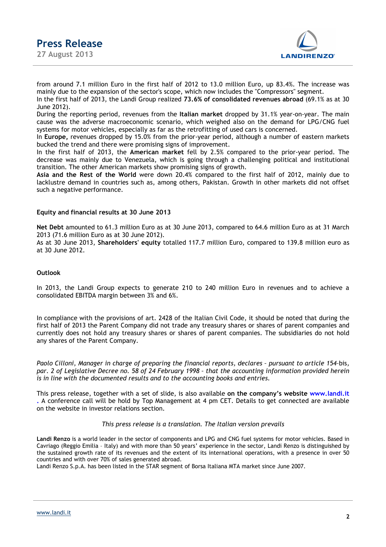**Press Release 27 August 2013** 



from around 7.1 million Euro in the first half of 2012 to 13.0 million Euro, up 83.4%. The increase was mainly due to the expansion of the sector's scope, which now includes the "Compressors" segment.

In the first half of 2013, the Landi Group realized **73.6% of consolidated revenues abroad** (69.1% as at 30 June 2012).

During the reporting period, revenues from the **Italian market** dropped by 31.1% year-on-year. The main cause was the adverse macroeconomic scenario, which weighed also on the demand for LPG/CNG fuel systems for motor vehicles, especially as far as the retrofitting of used cars is concerned.

In **Europe,** revenues dropped by 15.0% from the prior-year period, although a number of eastern markets bucked the trend and there were promising signs of improvement.

In the first half of 2013, the **American market** fell by 2.5% compared to the prior-year period. The decrease was mainly due to Venezuela, which is going through a challenging political and institutional transition. The other American markets show promising signs of growth.

**Asia and the Rest of the World** were down 20.4% compared to the first half of 2012, mainly due to lacklustre demand in countries such as, among others, Pakistan. Growth in other markets did not offset such a negative performance.

#### **Equity and financial results at 30 June 2013**

**Net Debt** amounted to 61.3 million Euro as at 30 June 2013, compared to 64.6 million Euro as at 31 March 2013 (71.6 million Euro as at 30 June 2012).

As at 30 June 2013, **Shareholders' equity** totalled 117.7 million Euro, compared to 139.8 million euro as at 30 June 2012.

#### **Outlook**

In 2013, the Landi Group expects to generate 210 to 240 million Euro in revenues and to achieve a consolidated EBITDA margin between 3% and 6%.

In compliance with the provisions of art. 2428 of the Italian Civil Code, it should be noted that during the first half of 2013 the Parent Company did not trade any treasury shares or shares of parent companies and currently does not hold any treasury shares or shares of parent companies. The subsidiaries do not hold any shares of the Parent Company.

*Paolo Cilloni, Manager in charge of preparing the financial reports, declares – pursuant to article 154–*bis*, par. 2 of Legislative Decree no. 58 of 24 February 1998 – that the accounting information provided herein is in line with the documented results and to the accounting books and entries.* 

This press release, together with a set of slide, is also available **on the company's website www.landi.it .** A conference call will be hold by Top Management at 4 pm CET. Details to get connected are available on the website in investor relations section.

#### *This press release is a translation. The Italian version prevails*

**Landi Renzo** is a world leader in the sector of components and LPG and CNG fuel systems for motor vehicles. Based in Cavriago (Reggio Emilia – Italy) and with more than 50 years' experience in the sector, Landi Renzo is distinguished by the sustained growth rate of its revenues and the extent of its international operations, with a presence in over 50 countries and with over 70% of sales generated abroad.

Landi Renzo S.p.A. has been listed in the STAR segment of Borsa Italiana MTA market since June 2007.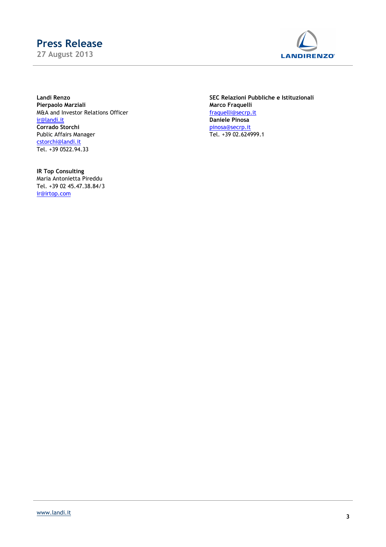# **Press Release**

**27 August 2013** 



**Pierpaolo Marziali**<br>
Marco Fraquelli<br>
M&A and Investor Relations Officer<br>
M&A and Investor Relations Officer M&A and Investor Relations Officer<br>ir@landi.it **Corrado Storchi**<br>
Public Affairs Manager<br>
Public Affairs Manager<br>
Public Affairs Manager<br>
Public Affairs Manager Public Affairs Manager cstorchi@landi.it Tel. +39 0522.94.33

**Landi Renzo SEC Relazioni Pubbliche e Istituzionali** Daniele Pinosa<br>pinosa@secrp.it

**IR Top Consulting** Maria Antonietta Pireddu Tel. +39 02 45.47.38.84/3 ir@irtop.com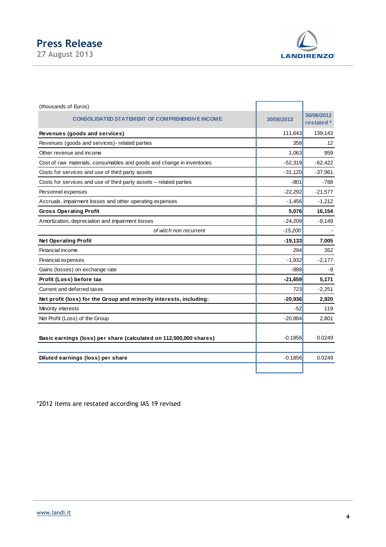## **Press Release**

**27 August 2013** 



| (thousands of Euros)                                                   |            |                          |
|------------------------------------------------------------------------|------------|--------------------------|
| CONSOLIDATED STATEMENT OF COMPREHENSIVE INCOME                         | 30/06/2013 | 30/06/2012<br>restated * |
| Revenues (goods and services)                                          | 111,643    | 139,143                  |
| Revenues (goods and services)- related parties                         | 358        | 12                       |
| Other revenue and income                                               | 1,063      | 959                      |
| Cost of raw materials, consumables and goods and change in inventories | $-52,319$  | $-62,422$                |
| Costs for services and use of third party assets                       | $-31,120$  | $-37,961$                |
| Costs for services and use of third party assets - related parties     | $-801$     | $-788$                   |
| Personnel expenses                                                     | $-22,292$  | $-21,577$                |
| Accruals, impairment losses and other operating expenses               | $-1,456$   | $-1,212$                 |
| <b>Gross Operating Profit</b>                                          | 5,076      | 16,154                   |
| Amortization, depreciation and impairment losses                       | $-24,209$  | $-9,149$                 |
| of witch non recurrent                                                 | $-15,200$  |                          |
| <b>Net Operating Profit</b>                                            | $-19,133$  | 7,005                    |
| Financial income                                                       | 294        | 352                      |
| <b>Financial expenses</b>                                              | $-1,932$   | $-2,177$                 |
| Gains (losses) on exchange rate                                        | $-888$     | -9                       |
| Profit (Loss) before tax                                               | $-21,659$  | 5,171                    |
| Current and deferred taxes                                             | 723        | $-2,251$                 |
| Net profit (loss) for the Group and minority interests, including:     | $-20,936$  | 2,920                    |
| Minority interests                                                     | $-52$      | 119                      |
| Net Profit (Loss) of the Group                                         | $-20,884$  | 2,801                    |
| Basic earnings (loss) per share (calculated on 112,500,000 shares)     | $-0.1856$  | 0.0249                   |
| Diluted earnings (loss) per share                                      | $-0.1856$  | 0.0249                   |
|                                                                        |            |                          |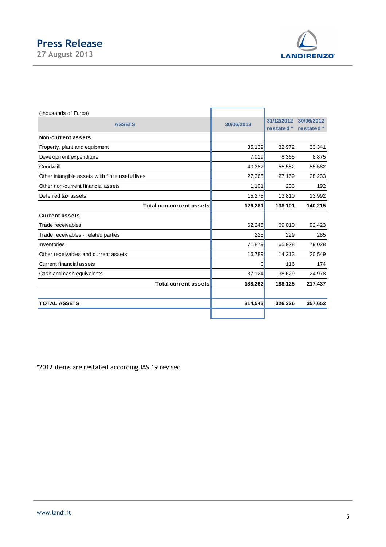

| (thousands of Euros)                             |            |            |            |
|--------------------------------------------------|------------|------------|------------|
| <b>ASSETS</b>                                    | 30/06/2013 | 31/12/2012 | 30/06/2012 |
| Non-current assets                               |            | restated * | restated * |
| Property, plant and equipment                    | 35,139     | 32,972     | 33,341     |
|                                                  |            |            |            |
| Development expenditure                          | 7,019      | 8,365      | 8,875      |
| Goodwill                                         | 40,382     | 55,582     | 55,582     |
| Other intangible assets with finite useful lives | 27,365     | 27,169     | 28,233     |
| Other non-current financial assets               | 1,101      | 203        | 192        |
| Deferred tax assets                              | 15,275     | 13,810     | 13,992     |
|                                                  |            |            |            |
| <b>Total non-current assets</b>                  | 126,281    | 138,101    | 140,215    |
| <b>Current assets</b>                            |            |            |            |
| Trade receivables                                | 62,245     | 69,010     | 92,423     |
| Trade receivables - related parties              | 225        | 229        | 285        |
| <b>Inventories</b>                               | 71,879     | 65,928     | 79,028     |
| Other receivables and current assets             | 16,789     | 14,213     | 20,549     |
| Current financial assets                         | 0          | 116        | 174        |
| Cash and cash equivalents                        | 37,124     | 38,629     | 24,978     |
| <b>Total current assets</b>                      | 188,262    | 188,125    | 217,437    |
|                                                  |            |            |            |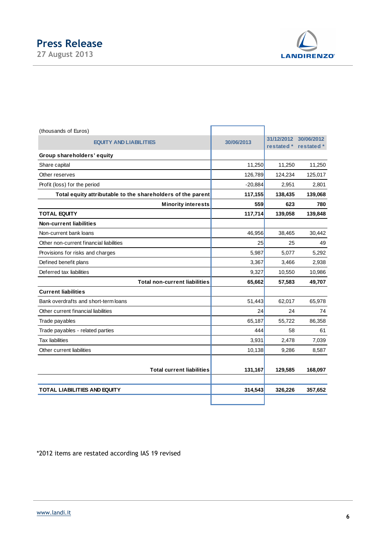

| (thousands of Euros)                                        |            |                          |                          |
|-------------------------------------------------------------|------------|--------------------------|--------------------------|
| <b>EQUITY AND LIABILITIES</b>                               | 30/06/2013 | 31/12/2012<br>restated * | 30/06/2012<br>restated * |
| Group shareholders' equity                                  |            |                          |                          |
| Share capital                                               | 11,250     | 11,250                   | 11,250                   |
| Other reserves                                              | 126,789    | 124,234                  | 125,017                  |
| Profit (loss) for the period                                | $-20,884$  | 2,951                    | 2,801                    |
| Total equity attributable to the shareholders of the parent | 117,155    | 138,435                  | 139,068                  |
| <b>Minority interests</b>                                   | 559        | 623                      | 780                      |
| <b>TOTAL EQUITY</b>                                         | 117,714    | 139,058                  | 139,848                  |
| <b>Non-current liabilities</b>                              |            |                          |                          |
| Non-current bank loans                                      | 46,956     | 38,465                   | 30,442                   |
| Other non-current financial liabilities                     | 25         | 25                       | 49                       |
| Provisions for risks and charges                            | 5,987      | 5,077                    | 5,292                    |
| Defined benefit plans                                       | 3,367      | 3,466                    | 2,938                    |
| Deferred tax liabilities                                    | 9,327      | 10,550                   | 10,986                   |
| <b>Total non-current liabilities</b>                        | 65,662     | 57,583                   | 49,707                   |
| <b>Current liabilities</b>                                  |            |                          |                          |
| Bank overdrafts and short-term loans                        | 51,443     | 62,017                   | 65,978                   |
| Other current financial liabilities                         | 24         | 24                       | 74                       |
| Trade payables                                              | 65,187     | 55,722                   | 86,358                   |
| Trade payables - related parties                            | 444        | 58                       | 61                       |
| <b>Tax liabilities</b>                                      | 3,931      | 2,478                    | 7,039                    |
| Other current liabilities                                   | 10,138     | 9,286                    | 8,587                    |
| <b>Total current liabilities</b>                            | 131,167    | 129,585                  | 168,097                  |
| <b>TOTAL LIABILITIES AND EQUITY</b>                         | 314,543    | 326,226                  | 357,652                  |
|                                                             |            |                          |                          |